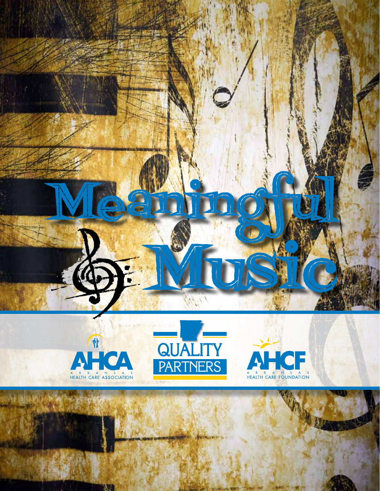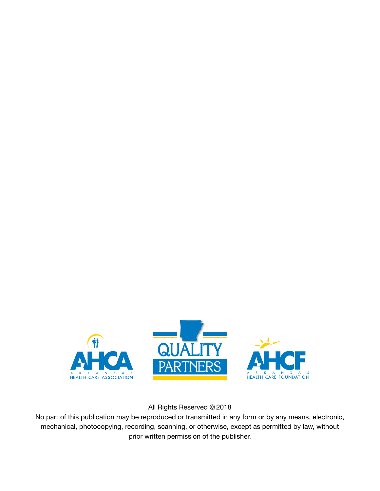

All Rights Reserved © 2018

No part of this publication may be reproduced or transmitted in any form or by any means, electronic, mechanical, photocopying, recording, scanning, or otherwise, except as permitted by law, without prior written permission of the publisher.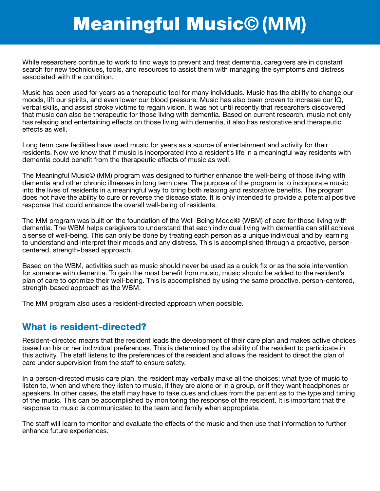# Meaningful Music**© (MM)**

While researchers continue to work to find ways to prevent and treat dementia, caregivers are in constant search for new techniques, tools, and resources to assist them with managing the symptoms and distress associated with the condition.

Music has been used for years as a therapeutic tool for many individuals. Music has the ability to change our moods, lift our spirits, and even lower our blood pressure. Music has also been proven to increase our IQ, verbal skills, and assist stroke victims to regain vision. It was not until recently that researchers discovered that music can also be therapeutic for those living with dementia. Based on current research, music not only has relaxing and entertaining effects on those living with dementia, it also has restorative and therapeutic effects as well.

Long term care facilities have used music for years as a source of entertainment and activity for their residents. Now we know that if music is incorporated into a resident's life in a meaningful way residents with dementia could benefit from the therapeutic effects of music as well.

The Meaningful Music© (MM) program was designed to further enhance the well-being of those living with dementia and other chronic illnesses in long term care. The purpose of the program is to incorporate music into the lives of residents in a meaningful way to bring both relaxing and restorative benefits. The program does not have the ability to cure or reverse the disease state. It is only intended to provide a potential positive response that could enhance the overall well-being of residents.

The MM program was built on the foundation of the Well-Being Model© (WBM) of care for those living with dementia. The WBM helps caregivers to understand that each individual living with dementia can still achieve a sense of well-being. This can only be done by treating each person as a unique individual and by learning to understand and interpret their moods and any distress. This is accomplished through a proactive, personcentered, strength-based approach.

Based on the WBM, activities such as music should never be used as a quick fix or as the sole intervention for someone with dementia. To gain the most benefit from music, music should be added to the resident's plan of care to optimize their well-being. This is accomplished by using the same proactive, person-centered, strength-based approach as the WBM.

The MM program also uses a resident-directed approach when possible.

## What is resident-directed?

Resident-directed means that the resident leads the development of their care plan and makes active choices based on his or her individual preferences. This is determined by the ability of the resident to participate in this activity. The staff listens to the preferences of the resident and allows the resident to direct the plan of care under supervision from the staff to ensure safety.

In a person-directed music care plan, the resident may verbally make all the choices; what type of music to listen to, when and where they listen to music, if they are alone or in a group, or if they want headphones or speakers. In other cases, the staff may have to take cues and clues from the patient as to the type and timing of the music. This can be accomplished by monitoring the response of the resident. It is important that the response to music is communicated to the team and family when appropriate.

The staff will learn to monitor and evaluate the effects of the music and then use that information to further enhance future experiences.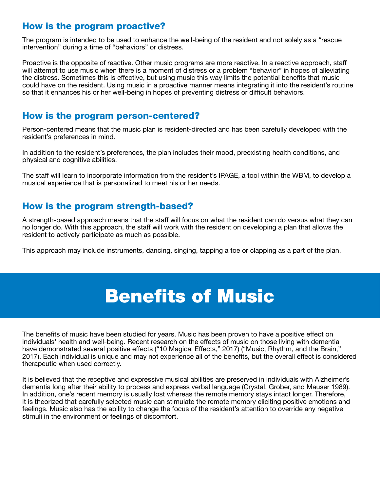## How is the program proactive?

The program is intended to be used to enhance the well-being of the resident and not solely as a "rescue intervention" during a time of "behaviors" or distress.

Proactive is the opposite of reactive. Other music programs are more reactive. In a reactive approach, staff will attempt to use music when there is a moment of distress or a problem "behavior" in hopes of alleviating the distress. Sometimes this is effective, but using music this way limits the potential benefits that music could have on the resident. Using music in a proactive manner means integrating it into the resident's routine so that it enhances his or her well-being in hopes of preventing distress or difficult behaviors.

#### How is the program person-centered?

Person-centered means that the music plan is resident-directed and has been carefully developed with the resident's preferences in mind.

In addition to the resident's preferences, the plan includes their mood, preexisting health conditions, and physical and cognitive abilities.

The staff will learn to incorporate information from the resident's IPAGE, a tool within the WBM, to develop a musical experience that is personalized to meet his or her needs.

#### How is the program strength-based?

A strength-based approach means that the staff will focus on what the resident can do versus what they can no longer do. With this approach, the staff will work with the resident on developing a plan that allows the resident to actively participate as much as possible.

This approach may include instruments, dancing, singing, tapping a toe or clapping as a part of the plan.

# Benefits of Music

The benefits of music have been studied for years. Music has been proven to have a positive effect on individuals' health and well-being. Recent research on the effects of music on those living with dementia have demonstrated several positive effects ("10 Magical Effects," 2017) ("Music, Rhythm, and the Brain," 2017). Each individual is unique and may not experience all of the benefits, but the overall effect is considered therapeutic when used correctly.

It is believed that the receptive and expressive musical abilities are preserved in individuals with Alzheimer's dementia long after their ability to process and express verbal language (Crystal, Grober, and Mauser 1989). In addition, one's recent memory is usually lost whereas the remote memory stays intact longer. Therefore, it is theorized that carefully selected music can stimulate the remote memory eliciting positive emotions and feelings. Music also has the ability to change the focus of the resident's attention to override any negative stimuli in the environment or feelings of discomfort.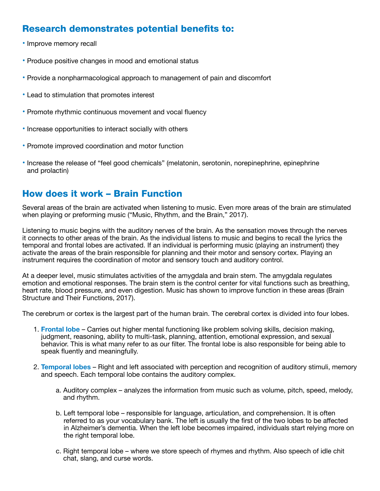# Research demonstrates potential benefits to:

- Improve memory recall
- Produce positive changes in mood and emotional status
- Provide a nonpharmacological approach to management of pain and discomfort
- Lead to stimulation that promotes interest
- Promote rhythmic continuous movement and vocal fluency
- Increase opportunities to interact socially with others
- Promote improved coordination and motor function
- Increase the release of "feel good chemicals" (melatonin, serotonin, norepinephrine, epinephrine and prolactin)

## How does it work – Brain Function

Several areas of the brain are activated when listening to music. Even more areas of the brain are stimulated when playing or preforming music ("Music, Rhythm, and the Brain," 2017).

Listening to music begins with the auditory nerves of the brain. As the sensation moves through the nerves it connects to other areas of the brain. As the individual listens to music and begins to recall the lyrics the temporal and frontal lobes are activated. If an individual is performing music (playing an instrument) they activate the areas of the brain responsible for planning and their motor and sensory cortex. Playing an instrument requires the coordination of motor and sensory touch and auditory control.

At a deeper level, music stimulates activities of the amygdala and brain stem. The amygdala regulates emotion and emotional responses. The brain stem is the control center for vital functions such as breathing, heart rate, blood pressure, and even digestion. Music has shown to improve function in these areas (Brain Structure and Their Functions, 2017).

The cerebrum or cortex is the largest part of the human brain. The cerebral cortex is divided into four lobes.

- 1. **Frontal lobe** Carries out higher mental functioning like problem solving skills, decision making, judgment, reasoning, ability to multi-task, planning, attention, emotional expression, and sexual behavior. This is what many refer to as our filter. The frontal lobe is also responsible for being able to speak fluently and meaningfully.
- 2. **Temporal lobes** Right and left associated with perception and recognition of auditory stimuli, memory and speech. Each temporal lobe contains the auditory complex.
	- a. Auditory complex analyzes the information from music such as volume, pitch, speed, melody, and rhythm.
	- b. Left temporal lobe responsible for language, articulation, and comprehension. It is often referred to as your vocabulary bank. The left is usually the first of the two lobes to be affected in Alzheimer's dementia. When the left lobe becomes impaired, individuals start relying more on the right temporal lobe.
	- c. Right temporal lobe where we store speech of rhymes and rhythm. Also speech of idle chit chat, slang, and curse words.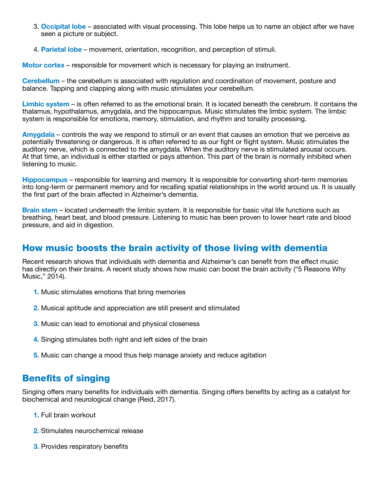- 3. **Occipital lobe** associated with visual processing. This lobe helps us to name an object after we have seen a picture or subject.
- 4. **Parietal lobe**  movement, orientation, recognition, and perception of stimuli.

**Motor cortex** – responsible for movement which is necessary for playing an instrument.

**Cerebellum** – the cerebellum is associated with regulation and coordination of movement, posture and balance. Tapping and clapping along with music stimulates your cerebellum.

**Limbic system** – is often referred to as the emotional brain. It is located beneath the cerebrum. It contains the thalamus, hypothalamus, amygdala, and the hippocampus. Music stimulates the limbic system. The limbic system is responsible for emotions, memory, stimulation, and rhythm and tonality processing.

**Amygdala** – controls the way we respond to stimuli or an event that causes an emotion that we perceive as potentially threatening or dangerous. It is often referred to as our fight or flight system. Music stimulates the auditory nerve, which is connected to the amygdala. When the auditory nerve is stimulated arousal occurs. At that time, an individual is either startled or pays attention. This part of the brain is normally inhibited when listening to music.

**Hippocampus** – responsible for learning and memory. It is responsible for converting short-term memories into long-term or permanent memory and for recalling spatial relationships in the world around us. It is usually the first part of the brain affected in Alzheimer's dementia.

**Brain stem** – located underneath the limbic system. It is responsible for basic vital life functions such as breathing, heart beat, and blood pressure. Listening to music has been proven to lower heart rate and blood pressure, and aid in digestion.

## How music boosts the brain activity of those living with dementia

Recent research shows that individuals with dementia and Alzheimer's can benefit from the effect music has directly on their brains. A recent study shows how music can boost the brain activity ("5 Reasons Why Music," 2014).

- **1.** Music stimulates emotions that bring memories
- **2.** Musical aptitude and appreciation are still present and stimulated
- **3.** Music can lead to emotional and physical closeness
- **4.** Singing stimulates both right and left sides of the brain
- **5.** Music can change a mood thus help manage anxiety and reduce agitation

## Benefits of singing

Singing offers many benefits for individuals with dementia. Singing offers benefits by acting as a catalyst for biochemical and neurological change (Reid, 2017).

- **1.** Full brain workout
- **2.** Stimulates neurochemical release
- **3.** Provides respiratory benefits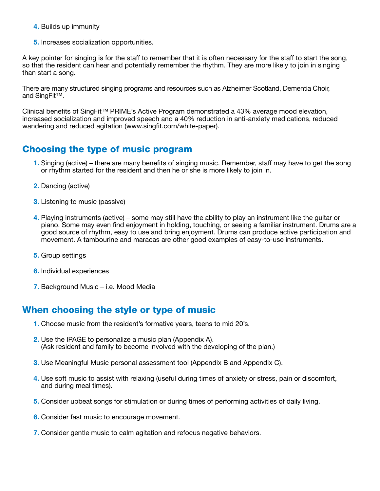- **4.** Builds up immunity
- **5.** Increases socialization opportunities.

A key pointer for singing is for the staff to remember that it is often necessary for the staff to start the song, so that the resident can hear and potentially remember the rhythm. They are more likely to join in singing than start a song.

There are many structured singing programs and resources such as Alzheimer Scotland, Dementia Choir, and SingFit™.

Clinical benefits of SingFit™ PRIME's Active Program demonstrated a 43% average mood elevation, increased socialization and improved speech and a 40% reduction in anti-anxiety medications, reduced wandering and reduced agitation (www.singfit.com/white-paper).

## Choosing the type of music program

- **1.** Singing (active) there are many benefits of singing music. Remember, staff may have to get the song or rhythm started for the resident and then he or she is more likely to join in.
- **2.** Dancing (active)
- **3.** Listening to music (passive)
- **4.** Playing instruments (active) some may still have the ability to play an instrument like the guitar or piano. Some may even find enjoyment in holding, touching, or seeing a familiar instrument. Drums are a good source of rhythm, easy to use and bring enjoyment. Drums can produce active participation and movement. A tambourine and maracas are other good examples of easy-to-use instruments.
- **5.** Group settings
- **6.** Individual experiences
- **7.** Background Music i.e. Mood Media

## When choosing the style or type of music

- **1.** Choose music from the resident's formative years, teens to mid 20's.
- **2.** Use the IPAGE to personalize a music plan (Appendix A). (Ask resident and family to become involved with the developing of the plan.)
- **3.** Use Meaningful Music personal assessment tool (Appendix B and Appendix C).
- **4.** Use soft music to assist with relaxing (useful during times of anxiety or stress, pain or discomfort, and during meal times).
- **5.** Consider upbeat songs for stimulation or during times of performing activities of daily living.
- **6.** Consider fast music to encourage movement.
- **7.** Consider gentle music to calm agitation and refocus negative behaviors.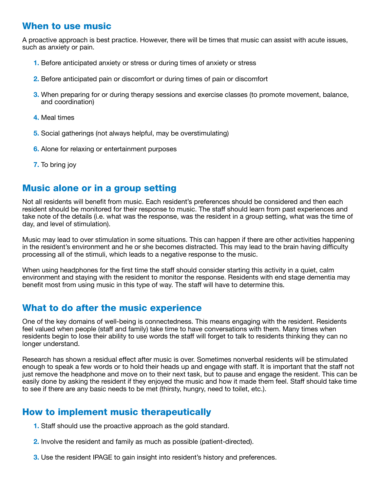# When to use music

A proactive approach is best practice. However, there will be times that music can assist with acute issues, such as anxiety or pain.

- **1.** Before anticipated anxiety or stress or during times of anxiety or stress
- **2.** Before anticipated pain or discomfort or during times of pain or discomfort
- **3.** When preparing for or during therapy sessions and exercise classes (to promote movement, balance, and coordination)
- **4.** Meal times
- **5.** Social gatherings (not always helpful, may be overstimulating)
- **6.** Alone for relaxing or entertainment purposes
- **7.** To bring joy

#### Music alone or in a group setting

Not all residents will benefit from music. Each resident's preferences should be considered and then each resident should be monitored for their response to music. The staff should learn from past experiences and take note of the details (i.e. what was the response, was the resident in a group setting, what was the time of day, and level of stimulation).

Music may lead to over stimulation in some situations. This can happen if there are other activities happening in the resident's environment and he or she becomes distracted. This may lead to the brain having difficulty processing all of the stimuli, which leads to a negative response to the music.

When using headphones for the first time the staff should consider starting this activity in a quiet, calm environment and staying with the resident to monitor the response. Residents with end stage dementia may benefit most from using music in this type of way. The staff will have to determine this.

## What to do after the music experience

One of the key domains of well-being is connectedness. This means engaging with the resident. Residents feel valued when people (staff and family) take time to have conversations with them. Many times when residents begin to lose their ability to use words the staff will forget to talk to residents thinking they can no longer understand.

Research has shown a residual effect after music is over. Sometimes nonverbal residents will be stimulated enough to speak a few words or to hold their heads up and engage with staff. It is important that the staff not just remove the headphone and move on to their next task, but to pause and engage the resident. This can be easily done by asking the resident if they enjoyed the music and how it made them feel. Staff should take time to see if there are any basic needs to be met (thirsty, hungry, need to toilet, etc.).

## How to implement music therapeutically

- **1.** Staff should use the proactive approach as the gold standard.
- **2.** Involve the resident and family as much as possible (patient-directed).
- **3.** Use the resident IPAGE to gain insight into resident's history and preferences.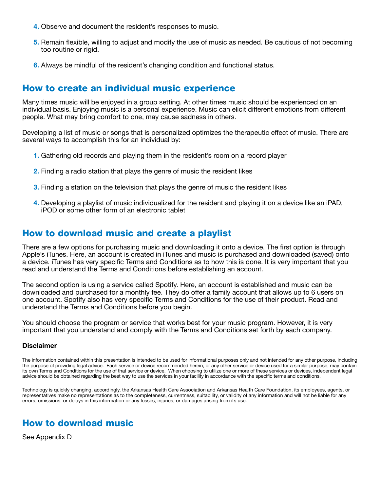- **4.** Observe and document the resident's responses to music.
- **5.** Remain flexible, willing to adjust and modify the use of music as needed. Be cautious of not becoming too routine or rigid.
- **6.** Always be mindful of the resident's changing condition and functional status.

#### How to create an individual music experience

Many times music will be enjoyed in a group setting. At other times music should be experienced on an individual basis. Enjoying music is a personal experience. Music can elicit different emotions from different people. What may bring comfort to one, may cause sadness in others.

Developing a list of music or songs that is personalized optimizes the therapeutic effect of music. There are several ways to accomplish this for an individual by:

- **1.** Gathering old records and playing them in the resident's room on a record player
- **2.** Finding a radio station that plays the genre of music the resident likes
- **3.** Finding a station on the television that plays the genre of music the resident likes
- **4.** Developing a playlist of music individualized for the resident and playing it on a device like an iPAD, iPOD or some other form of an electronic tablet

#### How to download music and create a playlist

There are a few options for purchasing music and downloading it onto a device. The first option is through Apple's iTunes. Here, an account is created in iTunes and music is purchased and downloaded (saved) onto a device. iTunes has very specific Terms and Conditions as to how this is done. It is very important that you read and understand the Terms and Conditions before establishing an account.

The second option is using a service called Spotify. Here, an account is established and music can be downloaded and purchased for a monthly fee. They do offer a family account that allows up to 6 users on one account. Spotify also has very specific Terms and Conditions for the use of their product. Read and understand the Terms and Conditions before you begin.

You should choose the program or service that works best for your music program. However, it is very important that you understand and comply with the Terms and Conditions set forth by each company.

#### **Disclaimer**

The information contained within this presentation is intended to be used for informational purposes only and not intended for any other purpose, including the purpose of providing legal advice. Each service or device recommended herein, or any other service or device used for a similar purpose, may contain its own Terms and Conditions for the use of that service or device. When choosing to utilize one or more of these services or devices, independent legal advice should be obtained regarding the best way to use the services in your facility in accordance with the specific terms and conditions.

Technology is quickly changing, accordingly, the Arkansas Health Care Association and Arkansas Health Care Foundation, its employees, agents, or representatives make no representations as to the completeness, currentness, suitability, or validity of any information and will not be liable for any errors, omissions, or delays in this information or any losses, injuries, or damages arising from its use.

#### How to download music

See Appendix D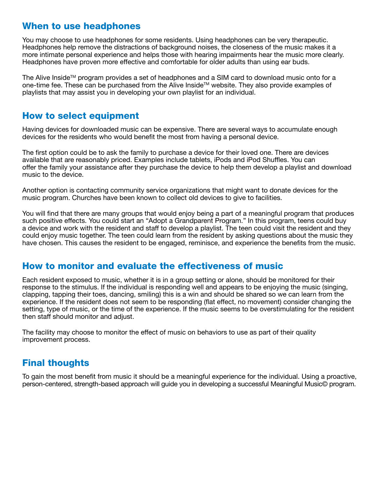## When to use headphones

You may choose to use headphones for some residents. Using headphones can be very therapeutic. Headphones help remove the distractions of background noises, the closeness of the music makes it a more intimate personal experience and helps those with hearing impairments hear the music more clearly. Headphones have proven more effective and comfortable for older adults than using ear buds.

The Alive Inside<sup>TM</sup> program provides a set of headphones and a SIM card to download music onto for a one-time fee. These can be purchased from the Alive Inside™ website. They also provide examples of playlists that may assist you in developing your own playlist for an individual.

#### How to select equipment

Having devices for downloaded music can be expensive. There are several ways to accumulate enough devices for the residents who would benefit the most from having a personal device.

The first option could be to ask the family to purchase a device for their loved one. There are devices available that are reasonably priced. Examples include tablets, iPods and iPod Shuffles. You can offer the family your assistance after they purchase the device to help them develop a playlist and download music to the device.

Another option is contacting community service organizations that might want to donate devices for the music program. Churches have been known to collect old devices to give to facilities.

You will find that there are many groups that would enjoy being a part of a meaningful program that produces such positive effects. You could start an "Adopt a Grandparent Program." In this program, teens could buy a device and work with the resident and staff to develop a playlist. The teen could visit the resident and they could enjoy music together. The teen could learn from the resident by asking questions about the music they have chosen. This causes the resident to be engaged, reminisce, and experience the benefits from the music.

#### How to monitor and evaluate the effectiveness of music

Each resident exposed to music, whether it is in a group setting or alone, should be monitored for their response to the stimulus. If the individual is responding well and appears to be enjoying the music (singing, clapping, tapping their toes, dancing, smiling) this is a win and should be shared so we can learn from the experience. If the resident does not seem to be responding (flat effect, no movement) consider changing the setting, type of music, or the time of the experience. If the music seems to be overstimulating for the resident then staff should monitor and adjust.

The facility may choose to monitor the effect of music on behaviors to use as part of their quality improvement process.

# Final thoughts

To gain the most benefit from music it should be a meaningful experience for the individual. Using a proactive, person-centered, strength-based approach will guide you in developing a successful Meaningful Music© program.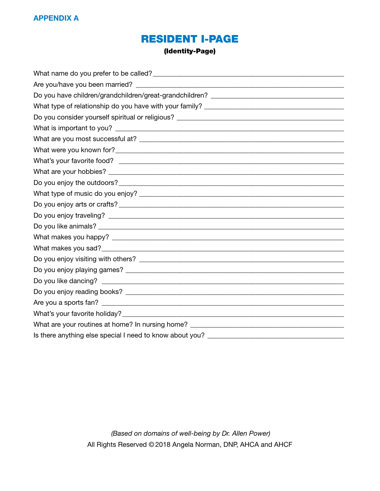# Resident I-Page

#### (Identity-Page)

| What are your routines at home? In nursing home? _______________________________ |
|----------------------------------------------------------------------------------|
| Is there anything else special I need to know about you?                         |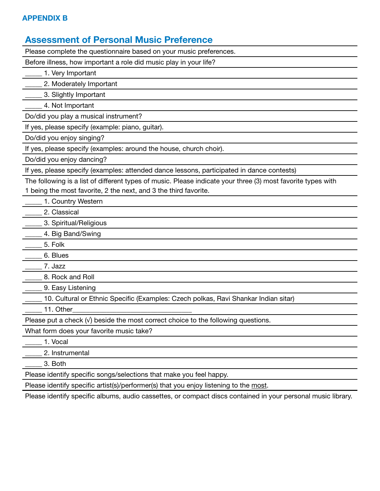#### **Appendix B**

#### **Assessment of Personal Music Preference**

Please complete the questionnaire based on your music preferences.

Before illness, how important a role did music play in your life?

1. Very Important

\_\_\_\_\_ 2. Moderately Important

\_\_\_\_\_ 3. Slightly Important

\_\_\_\_\_ 4. Not Important

Do/did you play a musical instrument?

If yes, please specify (example: piano, guitar).

Do/did you enjoy singing?

If yes, please specify (examples: around the house, church choir).

Do/did you enjoy dancing?

If yes, please specify (examples: attended dance lessons, participated in dance contests)

The following is a list of different types of music. Please indicate your three (3) most favorite types with 1 being the most favorite, 2 the next, and 3 the third favorite.

1. Country Western

\_\_\_\_\_ 2. Classical

\_\_\_\_\_ 3. Spiritual/Religious

**\_\_\_\_** 4. Big Band/Swing

 $\frac{1}{\sqrt{2}}$  5. Folk

\_\_\_\_\_ 6. Blues

 $_$  7. Jazz

8. Rock and Roll

\_\_\_\_\_ 9. Easy Listening

\_\_\_\_\_ 10. Cultural or Ethnic Specific (Examples: Czech polkas, Ravi Shankar Indian sitar)

11. Other

Please put a check  $(v)$  beside the most correct choice to the following questions.

What form does your favorite music take?

\_\_\_\_\_ 1. Vocal

\_\_\_\_\_ 2. Instrumental

\_\_\_\_\_ 3. Both

Please identify specific songs/selections that make you feel happy.

Please identify specific artist(s)/performer(s) that you enjoy listening to the most.

Please identify specific albums, audio cassettes, or compact discs contained in your personal music library.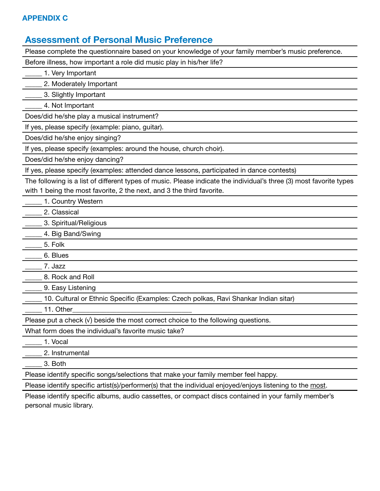#### **Appendix C**

#### **Assessment of Personal Music Preference**

Please complete the questionnaire based on your knowledge of your family member's music preference.

Before illness, how important a role did music play in his/her life?

\_\_\_\_\_ 1. Very Important

\_\_\_\_\_ 2. Moderately Important

\_\_\_\_\_ 3. Slightly Important

\_\_\_\_\_ 4. Not Important

Does/did he/she play a musical instrument?

If yes, please specify (example: piano, guitar).

Does/did he/she enjoy singing?

If yes, please specify (examples: around the house, church choir).

Does/did he/she enjoy dancing?

If yes, please specify (examples: attended dance lessons, participated in dance contests)

The following is a list of different types of music. Please indicate the individual's three (3) most favorite types with 1 being the most favorite, 2 the next, and 3 the third favorite.

1. Country Western

\_\_\_\_\_ 2. Classical

\_\_\_\_\_ 3. Spiritual/Religious

4. Big Band/Swing

 $\frac{1}{\sqrt{25}}$  5. Folk

\_\_\_\_\_ 6. Blues

\_\_\_\_\_ 7. Jazz

8. Rock and Roll

9. Easy Listening

\_\_\_\_\_ 10. Cultural or Ethnic Specific (Examples: Czech polkas, Ravi Shankar Indian sitar)

11. Other

Please put a check  $(v)$  beside the most correct choice to the following questions.

What form does the individual's favorite music take?

| cal |  |
|-----|--|
|-----|--|

\_\_\_\_\_ 2. Instrumental

\_\_\_\_\_ 3. Both

Please identify specific songs/selections that make your family member feel happy.

Please identify specific artist(s)/performer(s) that the individual enjoyed/enjoys listening to the most.

Please identify specific albums, audio cassettes, or compact discs contained in your family member's personal music library.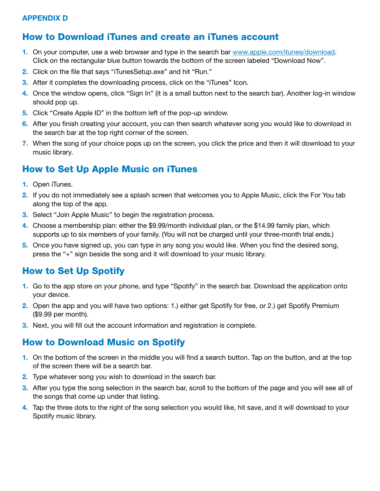#### **Appendix D**

# How to Download iTunes and create an iTunes account

- **1.** On your computer, use a web browser and type in the search bar www.apple.com/itunes/download. Click on the rectangular blue button towards the bottom of the screen labeled "Download Now".
- **2.** Click on the file that says "iTunesSetup.exe" and hit "Run."
- **3.** After it completes the downloading process, click on the "iTunes" Icon.
- **4.** Once the window opens, click "Sign In" (it is a small button next to the search bar). Another log-in window should pop up.
- **5.** Click "Create Apple ID" in the bottom left of the pop-up window.
- **6.** After you finish creating your account, you can then search whatever song you would like to download in the search bar at the top right corner of the screen.
- **7.** When the song of your choice pops up on the screen, you click the price and then it will download to your music library.

# How to Set Up Apple Music on iTunes

- **1.** Open iTunes.
- **2.** If you do not immediately see a splash screen that welcomes you to Apple Music, click the For You tab along the top of the app.
- **3.** Select "Join Apple Music" to begin the registration process.
- **4.** Choose a membership plan: either the \$9.99/month individual plan, or the \$14.99 family plan, which supports up to six members of your family. (You will not be charged until your three-month trial ends.)
- **5.** Once you have signed up, you can type in any song you would like. When you find the desired song, press the "+" sign beside the song and it will download to your music library.

# How to Set Up Spotify

- **1.** Go to the app store on your phone, and type "Spotify" in the search bar. Download the application onto your device.
- **2.** Open the app and you will have two options: 1.) either get Spotify for free, or 2.) get Spotify Premium (\$9.99 per month).
- **3.** Next, you will fill out the account information and registration is complete.

# How to Download Music on Spotify

- **1.** On the bottom of the screen in the middle you will find a search button. Tap on the button, and at the top of the screen there will be a search bar.
- **2.** Type whatever song you wish to download in the search bar.
- **3.** After you type the song selection in the search bar, scroll to the bottom of the page and you will see all of the songs that come up under that listing.
- **4.** Tap the three dots to the right of the song selection you would like, hit save, and it will download to your Spotify music library.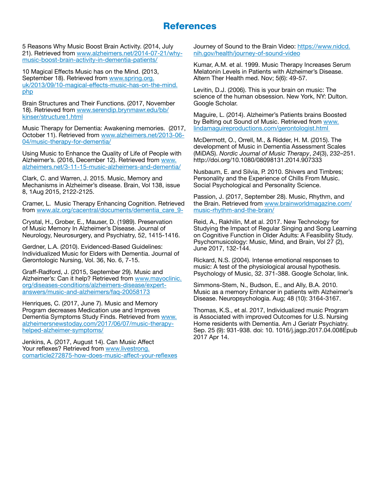#### **References**

5 Reasons Why Music Boost Brain Activity. (2014, July 21). Retrieved from [www.alzheimers.net/2014-07-21/why](http://www.alzheimers.net/2014-07-21/why-music-boost-brain-activity-in-dementia-patients/)[music-boost-brain-activity-in-dementia-patients/](http://www.alzheimers.net/2014-07-21/why-music-boost-brain-activity-in-dementia-patients/)

10 Magical Effects Music has on the Mind. (2013, September 18). Retrieved from [www.spring.org.](http://www.spring.org.uk/2013/09/10-magical-effects-music-has-on-the-mind.php%20%20) [uk/2013/09/10-magical-effects-music-has-on-the-mind.](http://www.spring.org.uk/2013/09/10-magical-effects-music-has-on-the-mind.php%20%20) [php](http://www.spring.org.uk/2013/09/10-magical-effects-music-has-on-the-mind.php%20%20)

Brain Structures and Their Functions. (2017, November 18). Retrieved from [www.serendip.brynmawr.edu/bb/](http://www.serendip.brynmawr.edu/bb/kinser/structure1.html) [kinser/structure1.html](http://www.serendip.brynmawr.edu/bb/kinser/structure1.html)

Music Therapy for Dementia: Awakening memories. (2017, October 11). Retrieved from [www.alzheimers.net/2013-06-](http://www.alzheimers.net/2013-06-04/music-therapy-for-dementia/) [04/music-therapy-for-dementia/](http://www.alzheimers.net/2013-06-04/music-therapy-for-dementia/)

Using Music to Enhance the Quality of Life of People with Alzheimer's. (2016, December 12). Retrieved from [www.](http://www.alzheimers.net/3-11-15-music-alzheimers-and-dementia/) [alzheimers.net/3-11-15-music-alzheimers-and-dementia/](http://www.alzheimers.net/3-11-15-music-alzheimers-and-dementia/)

Clark, C. and Warren, J. 2015. Music, Memory and Mechanisms in Alzheimer's disease. Brain, Vol 138, issue 8, 1Aug 2015, 2122-2125.

Cramer, L. Music Therapy Enhancing Cognition. Retrieved from [www.alz.org/cacentral/documents/dementia\\_care\\_9-](http://www.alz.org/cacentral/documents/dementia_care_9-)

Crystal, H., Grober, E., Mauser, D. (1989). Preservation of Music Memory In Alzheimer's Disease. Journal of Neurology, Neurosurgery, and Psychiatry, 52, 1415-1416.

Gerdner, L.A. (2010). Evidenced-Based Guidelines: Individualized Music for Elders with Dementia. Journal of Gerontologic Nursing, Vol. 36, No. 6, 7-15.

Graff-Radford, J. (2015, September 29). Music and Alzheimer's: Can it help? Retrieved from [www.mayoclinic.](http://www.mayoclinic.org/diseases-conditions/alzheimers-disease/expert-answers/music-and-alzheimers/faq-20058173) [org/diseases-conditions/alzheimers-disease/expert](http://www.mayoclinic.org/diseases-conditions/alzheimers-disease/expert-answers/music-and-alzheimers/faq-20058173)[answers/music-and-alzheimers/faq-20058173](http://www.mayoclinic.org/diseases-conditions/alzheimers-disease/expert-answers/music-and-alzheimers/faq-20058173)

Henriques, C. (2017, June 7). Music and Memory Program decreases Medication use and Improves Dementia Symptoms Study Finds. Retrieved from [www.](http://www.alzheimersnewstoday.com/2017/06/07/music-therapy-helped-alzheimer-symptoms/) [alzheimersnewstoday.com/2017/06/07/music-therapy](http://www.alzheimersnewstoday.com/2017/06/07/music-therapy-helped-alzheimer-symptoms/)[helped-alzheimer-symptoms/](http://www.alzheimersnewstoday.com/2017/06/07/music-therapy-helped-alzheimer-symptoms/)

Jenkins, A. (2017, August 14). Can Music Affect Your reflexes? Retrieved from [www.livestrong.](http://www.livestrong.comarticle272875-how-does-music-affect-your-reflexes) [comarticle272875-how-does-music-affect-your-reflexes](http://www.livestrong.comarticle272875-how-does-music-affect-your-reflexes) Journey of Sound to the Brain Video: [https://www.nidcd.](https://www.nidcd.nih.gov/health/journey-of-sound-video) [nih.gov/health/journey-of-sound-video](https://www.nidcd.nih.gov/health/journey-of-sound-video)

Kumar, A.M. et al. 1999. Music Therapy Increases Serum Melatonin Levels in Patients with Alzheimer's Disease. Altern Ther Health med. Nov; 5(6): 49-57.

Levitin, D.J. (2006). This is your brain on music: The science of the human obsession. New York, NY: Dulton. Google Scholar.

Maguire, L. (2014). Alzheimer's Patients brains Boosted by Belting out Sound of Music. Retrieved from [www.](http://www.lindamaguireproductions.com/gerontologist.html%20) [lindamaguireproductions.com/gerontologist.html](http://www.lindamaguireproductions.com/gerontologist.html%20) 

McDermott, O., Orrell, M., & Ridder, H. M. (2015). The development of Music in Dementia Assessment Scales (MiDAS). *Nordic Journal of Music Therapy*, *24*(3), 232–251. http://doi.org/10.1080/08098131.2014.907333

Nusbaum, E. and Silvia, P. 2010. Shivers and Timbres; Personality and the Experience of Chills From Music. Social Psychological and Personality Science.

Passion, J. (2017, September 28). Music, Rhythm, and the Brain. Retrieved from [www.brainworldmagazine.com/](http://www.brainworldmagazine.com/music-rhythm-and-the-brain/) [music-rhythm-and-the-brain/](http://www.brainworldmagazine.com/music-rhythm-and-the-brain/)

Reid, A., Rakhilin, M.et al. 2017. New Technology for Studying the Impact of Regular Singing and Song Learning on Cognitive Function in Older Adults: A Feasibility Study. Psychomusicology: Music, Mind, and Brain, Vol 27 (2), June 2017, 132-144.

Rickard, N.S. (2004). Intense emotional responses to music: A test of the physiological arousal hypothesis. Psychology of Music, 32. 371-388. Google Scholar, link.

Simmons-Stem, N., Budson, E., and Ally, B.A. 2010. Music as a memory Enhancer in patients with Alzheimer's Disease. Neuropsychologia. Aug; 48 (10): 3164-3167.

Thomas, K.S., et al. 2017, Individualized music Program is Associated with improved Outcomes for U.S. Nursing Home residents with Dementia. Am J Geriatr Psychiatry. Sep. 25 (9): 931-938. doi: 10. 1016/j.jagp.2017.04.008Epub 2017 Apr 14.